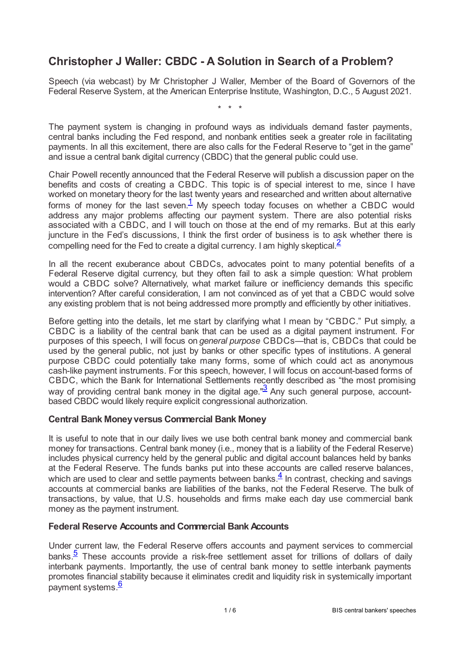# **Christopher J Waller: CBDC - A Solution in Search of a Problem?**

Speech (via webcast) by Mr Christopher J Waller, Member of the Board of Governors of the Federal Reserve System, at the American Enterprise Institute, Washington, D.C., 5 August 2021.

<span id="page-0-1"></span><span id="page-0-0"></span>\* \* \*

The payment system is changing in profound ways as individuals demand faster payments, central banks including the Fed respond, and nonbank entities seek a greater role in facilitating payments. In all this excitement, there are also calls for the Federal Reserve to "get in the game" and issue a central bank digital currency (CBDC) that the general public could use.

Chair Powell recently announced that the Federal Reserve will publish a discussion paper on the benefits and costs of creating a CBDC. This topic is of special interest to me, since I have worked on monetary theory for the last twenty years and researched and written about alternative forms of money for the last seven. $\frac{1}{2}$  $\frac{1}{2}$  $\frac{1}{2}$  My speech today focuses on whether a CBDC would address any major problems affecting our payment system. There are also potential risks associated with a CBDC, and I will touch on those at the end of my remarks. But at this early juncture in the Fed's discussions, I think the first order of business is to ask whether there is compelling need for the Fed to create a digital currency. I am highly skeptical  $\frac{2}{3}$  $\frac{2}{3}$  $\frac{2}{3}$ 

In all the recent exuberance about CBDCs, advocates point to many potential benefits of a Federal Reserve digital currency, but they often fail to ask a simple question: What problem would a CBDC solve? Alternatively, what market failure or inefficiency demands this specific intervention? After careful consideration, I am not convinced as of yet that a CBDC would solve any existing problem that is not being addressed more promptly and efficiently by other initiatives.

Before getting into the details, let me start by clarifying what I mean by "CBDC." Put simply, a CBDC is a liability of the central bank that can be used as a digital payment instrument. For purposes of this speech, I will focus on *general purpose* CBDCs—that is, CBDCs that could be used by the general public, not just by banks or other specific types of institutions. A general purpose CBDC could potentially take many forms, some of which could act as anonymous cash-like payment instruments. For this speech, however, I will focus on account-based forms of CBDC, which the Bank for International Settlements recently described as "the most promising way of providing central bank money in the digital age." $\frac{3}{2}$  $\frac{3}{2}$  $\frac{3}{2}$  Any such general purpose, accountbased CBDC would likely require explicit congressional authorization.

### <span id="page-0-2"></span>**Central Bank Moneyversus Commercial Bank Money**

<span id="page-0-3"></span>It is useful to note that in our daily lives we use both central bank money and commercial bank money for transactions. Central bank money (i.e., money that is a liability of the Federal Reserve) includes physical currency held by the general public and digital account balances held by banks at the Federal Reserve. The funds banks put into these accounts are called reserve balances, which are used to clear and settle payments between banks. $\frac{4}{5}$  $\frac{4}{5}$  $\frac{4}{5}$  In contrast, checking and savings accounts at commercial banks are liabilities of the banks, not the Federal Reserve. The bulk of transactions, by value, that U.S. households and firms make each day use commercial bank money as the payment instrument.

### **Federal Reserve Accounts and Commercial Bank Accounts**

<span id="page-0-5"></span><span id="page-0-4"></span>Under current law, the Federal Reserve offers accounts and payment services to commercial banks. $\frac{5}{2}$  $\frac{5}{2}$  $\frac{5}{2}$  These accounts provide a risk-free settlement asset for trillions of dollars of daily interbank payments. Importantly, the use of central bank money to settle interbank payments promotes financial stability because it eliminates credit and liquidity risk in systemically important payment systems.<sup>[6](#page-4-5)</sup>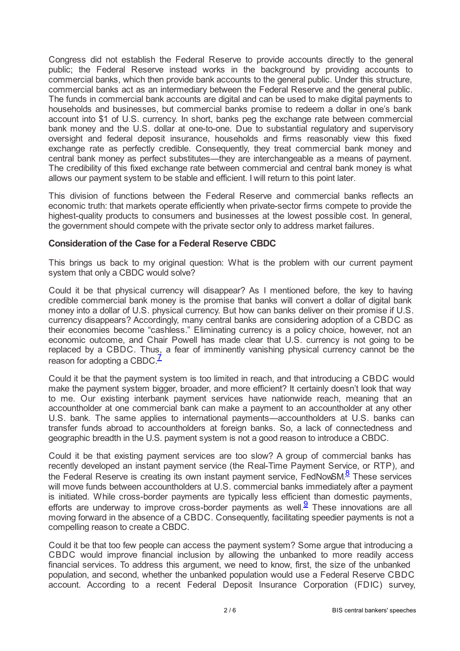Congress did not establish the Federal Reserve to provide accounts directly to the general public; the Federal Reserve instead works in the background by providing accounts to commercial banks, which then provide bank accounts to the general public. Under this structure, commercial banks act as an intermediary between the Federal Reserve and the general public. The funds in commercial bank accounts are digital and can be used to make digital payments to households and businesses, but commercial banks promise to redeem a dollar in one's bank account into \$1 of U.S. currency. In short, banks peg the exchange rate between commercial bank money and the U.S. dollar at one-to-one. Due to substantial regulatory and supervisory oversight and federal deposit insurance, households and firms reasonably view this fixed exchange rate as perfectly credible. Consequently, they treat commercial bank money and central bank money as perfect substitutes—they are interchangeable as a means of payment. The credibility of this fixed exchange rate between commercial and central bank money is what allows our payment system to be stable and efficient. I will return to this point later.

This division of functions between the Federal Reserve and commercial banks reflects an economic truth: that markets operate efficiently when private-sector firms compete to provide the highest-quality products to consumers and businesses at the lowest possible cost. In general, the government should compete with the private sector only to address market failures.

#### **Consideration of the Case for a Federal Reserve CBDC**

This brings us back to my original question: What is the problem with our current payment system that only a CBDC would solve?

Could it be that physical currency will disappear? As I mentioned before, the key to having credible commercial bank money is the promise that banks will convert a dollar of digital bank money into a dollar of U.S. physical currency. But how can banks deliver on their promise if U.S. currency disappears? Accordingly, many central banks are considering adoption of a CBDC as their economies become "cashless." Eliminating currency is a policy choice, however, not an economic outcome, and Chair Powell has made clear that U.S. currency is not going to be replaced by a CBDC. Thus, a fear of imminently vanishing physical currency cannot be the reason for adopting a CBDC.<sup> $\frac{7}{5}$  $\frac{7}{5}$  $\frac{7}{5}$ </sup>

<span id="page-1-0"></span>Could it be that the payment system is too limited in reach, and that introducing a CBDC would make the payment system bigger, broader, and more efficient? It certainly doesn't look that way to me. Our existing interbank payment services have nationwide reach, meaning that an accountholder at one commercial bank can make a payment to an accountholder at any other U.S. bank. The same applies to international payments—accountholders at U.S. banks can transfer funds abroad to accountholders at foreign banks. So, a lack of connectedness and geographic breadth in the U.S. payment system is not a good reason to introduce a CBDC.

<span id="page-1-1"></span>Could it be that existing payment services are too slow? A group of commercial banks has recently developed an instant payment service (the Real-Time Payment Service, or RTP), and the Federal Reserve is creating its own instant payment service, FedNowSM.<sup>[8](#page-4-7)</sup> These services will move funds between accountholders at U.S. commercial banks immediately after a payment is initiated. While cross-border payments are typically less efficient than domestic payments, efforts are underway to improve cross-border payments as well.<sup>[9](#page-4-8)</sup> These innovations are all moving forward in the absence of a CBDC. Consequently, facilitating speedier payments is not a compelling reason to create a CBDC.

<span id="page-1-2"></span>Could it be that too few people can access the payment system? Some argue that introducing a CBDC would improve financial inclusion by allowing the unbanked to more readily access financial services. To address this argument, we need to know, first, the size of the unbanked population, and second, whether the unbanked population would use a Federal Reserve CBDC account. According to a recent Federal Deposit Insurance Corporation (FDIC) survey,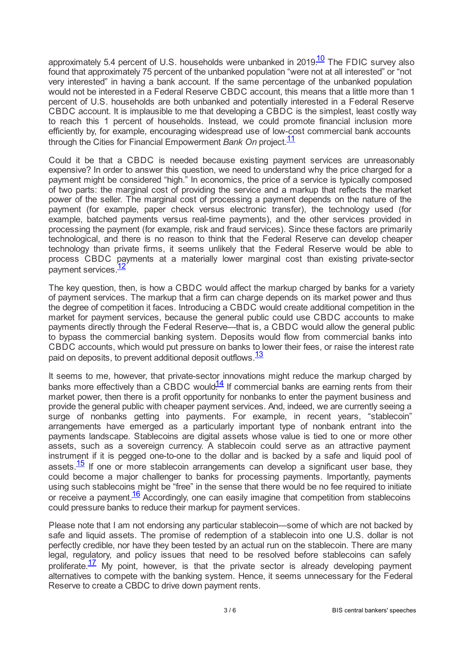<span id="page-2-0"></span>approximately 5.4 percent of U.S. households were unbanked in 2019.<sup>[10](#page-4-9)</sup> The FDIC survey also found that approximately 75 percent of the unbanked population "were not at all interested" or "not very interested" in having a bank account. If the same percentage of the unbanked population would not be interested in a Federal Reserve CBDC account, this means that a little more than 1 percent of U.S. households are both unbanked and potentially interested in a Federal Reserve CBDC account. It is implausible to me that developing a CBDC is the simplest, least costly way to reach this 1 percent of households. Instead, we could promote financial inclusion more efficiently by, for example, encouraging widespread use of low-cost commercial bank accounts through the Cities for Financial Empowerment *Bank On* project. [11](#page-5-0)

<span id="page-2-1"></span>Could it be that a CBDC is needed because existing payment services are unreasonably expensive? In order to answer this question, we need to understand why the price charged for a payment might be considered "high." In economics, the price of a service is typically composed of two parts: the marginal cost of providing the service and a markup that reflects the market power of the seller. The marginal cost of processing a payment depends on the nature of the payment (for example, paper check versus electronic transfer), the technology used (for example, batched payments versus real-time payments), and the other services provided in processing the payment (for example, risk and fraud services). Since these factors are primarily technological, and there is no reason to think that the Federal Reserve can develop cheaper technology than private firms, it seems unlikely that the Federal Reserve would be able to process CBDC payments at a materially lower marginal cost than existing private-sector payment services.<sup>[12](#page-5-1)</sup>

<span id="page-2-2"></span>The key question, then, is how a CBDC would affect the markup charged by banks for a variety of payment services. The markup that a firm can charge depends on its market power and thus the degree of competition it faces. Introducing a CBDC would create additional competition in the market for payment services, because the general public could use CBDC accounts to make payments directly through the Federal Reserve—that is, a CBDC would allow the general public to bypass the commercial banking system. Deposits would flow from commercial banks into CBDC accounts, which would put pressure on banks to lower their fees, or raise the interest rate paid on deposits, to prevent additional deposit outflows.<sup>[13](#page-5-2)</sup>

<span id="page-2-4"></span><span id="page-2-3"></span>It seems to me, however, that private-sector innovations might reduce the markup charged by banks more effectively than a CBDC would $\frac{14}{1}$  $\frac{14}{1}$  $\frac{14}{1}$  If commercial banks are earning rents from their market power, then there is a profit opportunity for nonbanks to enter the payment business and provide the general public with cheaper payment services. And, indeed, we are currently seeing a surge of nonbanks getting into payments. For example, in recent years, "stablecoin" arrangements have emerged as a particularly important type of nonbank entrant into the payments landscape. Stablecoins are digital assets whose value is tied to one or more other assets, such as a sovereign currency. A stablecoin could serve as an attractive payment instrument if it is pegged one-to-one to the dollar and is backed by a safe and liquid pool of assets. $\frac{15}{15}$  $\frac{15}{15}$  $\frac{15}{15}$  If one or more stablecoin arrangements can develop a significant user base, they could become a major challenger to banks for processing payments. Importantly, payments using such stablecoins might be "free" in the sense that there would be no fee required to initiate or receive a payment. $\frac{16}{16}$  $\frac{16}{16}$  $\frac{16}{16}$  Accordingly, one can easily imagine that competition from stablecoins could pressure banks to reduce their markup for payment services.

<span id="page-2-7"></span><span id="page-2-6"></span><span id="page-2-5"></span>Please note that I am not endorsing any particular stablecoin—some of which are not backed by safe and liquid assets. The promise of redemption of a stablecoin into one U.S. dollar is not perfectly credible, nor have they been tested by an actual run on the stablecoin. There are many legal, regulatory, and policy issues that need to be resolved before stablecoins can safely proliferate. $\frac{17}{1}$  $\frac{17}{1}$  $\frac{17}{1}$  My point, however, is that the private sector is already developing payment alternatives to compete with the banking system. Hence, it seems unnecessary for the Federal Reserve to create a CBDC to drive down payment rents.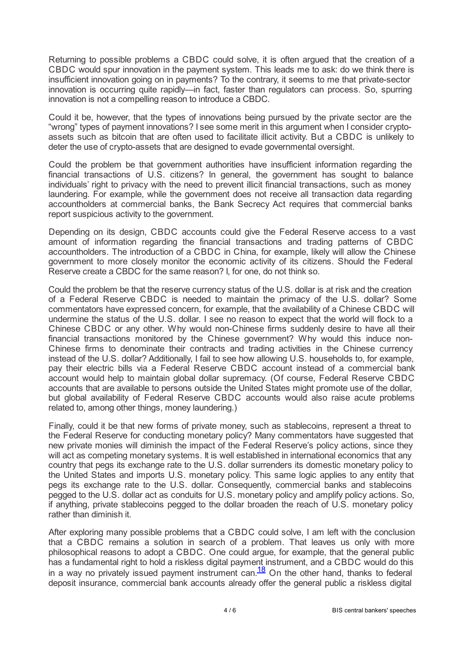Returning to possible problems a CBDC could solve, it is often argued that the creation of a CBDC would spur innovation in the payment system. This leads me to ask: do we think there is insufficient innovation going on in payments? To the contrary, it seems to me that private-sector innovation is occurring quite rapidly—in fact, faster than regulators can process. So, spurring innovation is not a compelling reason to introduce a CBDC.

Could it be, however, that the types of innovations being pursued by the private sector are the "wrong" types of payment innovations? I see some merit in this argument when I consider cryptoassets such as bitcoin that are often used to facilitate illicit activity. But a CBDC is unlikely to deter the use of crypto-assets that are designed to evade governmental oversight.

Could the problem be that government authorities have insufficient information regarding the financial transactions of U.S. citizens? In general, the government has sought to balance individuals' right to privacy with the need to prevent illicit financial transactions, such as money laundering. For example, while the government does not receive all transaction data regarding accountholders at commercial banks, the Bank Secrecy Act requires that commercial banks report suspicious activity to the government.

Depending on its design, CBDC accounts could give the Federal Reserve access to a vast amount of information regarding the financial transactions and trading patterns of CBDC accountholders. The introduction of a CBDC in China, for example, likely will allow the Chinese government to more closely monitor the economic activity of its citizens. Should the Federal Reserve create a CBDC for the same reason? I, for one, do not think so.

Could the problem be that the reserve currency status of the U.S. dollar is at risk and the creation of a Federal Reserve CBDC is needed to maintain the primacy of the U.S. dollar? Some commentators have expressed concern, for example, that the availability of a Chinese CBDC will undermine the status of the U.S. dollar. I see no reason to expect that the world will flock to a Chinese CBDC or any other. Why would non-Chinese firms suddenly desire to have all their financial transactions monitored by the Chinese government? Why would this induce non-Chinese firms to denominate their contracts and trading activities in the Chinese currency instead of the U.S. dollar? Additionally, I fail to see how allowing U.S. households to, for example, pay their electric bills via a Federal Reserve CBDC account instead of a commercial bank account would help to maintain global dollar supremacy. (Of course, Federal Reserve CBDC accounts that are available to persons outside the United States might promote use of the dollar, but global availability of Federal Reserve CBDC accounts would also raise acute problems related to, among other things, money laundering.)

Finally, could it be that new forms of private money, such as stablecoins, represent a threat to the Federal Reserve for conducting monetary policy? Many commentators have suggested that new private monies will diminish the impact of the Federal Reserve's policy actions, since they will act as competing monetary systems. It is well established in international economics that any country that pegs its exchange rate to the U.S. dollar surrenders its domestic monetary policy to the United States and imports U.S. monetary policy. This same logic applies to any entity that pegs its exchange rate to the U.S. dollar. Consequently, commercial banks and stablecoins pegged to the U.S. dollar act as conduits for U.S. monetary policy and amplify policy actions. So, if anything, private stablecoins pegged to the dollar broaden the reach of U.S. monetary policy rather than diminish it.

<span id="page-3-0"></span>After exploring many possible problems that a CBDC could solve, I am left with the conclusion that a CBDC remains a solution in search of a problem. That leaves us only with more philosophical reasons to adopt a CBDC. One could argue, for example, that the general public has a fundamental right to hold a riskless digital payment instrument, and a CBDC would do this in a way no privately issued payment instrument can. $\frac{18}{2}$  $\frac{18}{2}$  $\frac{18}{2}$  On the other hand, thanks to federal deposit insurance, commercial bank accounts already offer the general public a riskless digital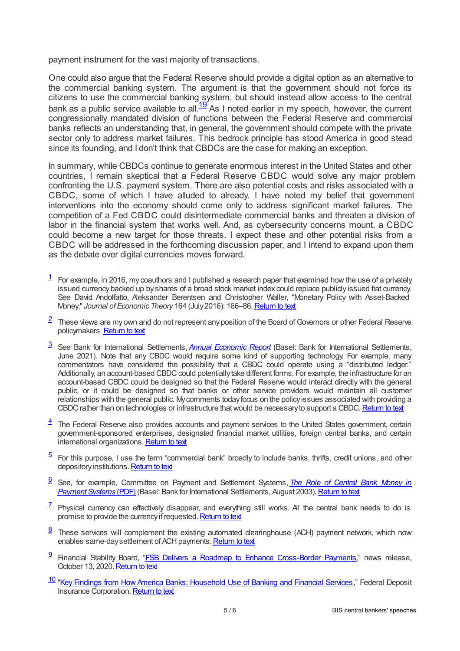payment instrument for the vast majority of transactions.

<span id="page-4-10"></span>One could also argue that the Federal Reserve should provide a digital option as an alternative to the commercial banking system. The argument is that the government should not force its citizens to use the commercial banking system, but should instead allow access to the central bank as a public service available to all.<sup>[19](#page-5-8)</sup> As I noted earlier in my speech, however, the current congressionally mandated division of functions between the Federal Reserve and commercial banks reflects an understanding that, in general, the government should compete with the private sector only to address market failures. This bedrock principle has stood America in good stead since its founding, and I don't think that CBDCs are the case for making an exception.

In summary, while CBDCs continue to generate enormous interest in the United States and other countries, I remain skeptical that a Federal Reserve CBDC would solve any major problem confronting the U.S. payment system. There are also potential costs and risks associated with a CBDC, some of which I have alluded to already. I have noted my belief that government interventions into the economy should come only to address significant market failures. The competition of a Fed CBDC could disintermediate commercial banks and threaten a division of labor in the financial system that works well. And, as cybersecurity concerns mount, a CBDC could become a new target for those threats. I expect these and other potential risks from a CBDC will be addressed in the forthcoming discussion paper, and I intend to expand upon them as the debate over digital currencies moves forward.

- <span id="page-4-1"></span> $2$  These views are my own and do not represent any position of the Board of Governors or other Federal Reserve policymakers. [Return](www.federalreserve.gov/newsevents/speech/waller20210805a.htm#f2) to text
- <span id="page-4-2"></span>[3](#page-0-2) See Bank for International Settlements, *Annual [Economic](www.bis.org/press/p210623.htm) Report* (Basel: Bank for International Settlements, June 2021). Note that any CBDC would require some kind of supporting technology. For example, many commentators have considered the possibility that a CBDC could operate using a "distributed ledger." Additionally, an account-based CBDC could potentially take different forms. For example, the infrastructure for an account-based CBDC could be designed so that the Federal Reserve would interact directly with the general public, or it could be designed so that banks or other service providers would maintain all customer relationships with the general public. Mycomments todayfocus on the policyissues associated with providing a CBDC rather than on technologies or infrastructure that would be necessary to support a CBDC. [Return](www.federalreserve.gov/newsevents/speech/waller20210805a.htm#f3) to text
- <span id="page-4-3"></span> $\frac{4}{1}$  $\frac{4}{1}$  $\frac{4}{1}$  The Federal Reserve also provides accounts and payment services to the United States government, certain government-sponsored enterprises, designated financial market utilities, foreign central banks, and certain international organizations. [Return](www.federalreserve.gov/newsevents/speech/waller20210805a.htm#f4) to text
- <span id="page-4-4"></span> $5$  For this purpose, I use the term "commercial bank" broadly to include banks, thrifts, credit unions, and other depository institutions. [Return](www.federalreserve.gov/newsevents/speech/waller20210805a.htm#f5) to text
- <span id="page-4-5"></span>See, for example, Committee on Payment and Settlement Systems, *The Role of Central Bank Money in* [6](#page-0-5) *Payment Systems* (PDF) (Basel: Bank for International Settlements, August 2003). Return to text
- <span id="page-4-6"></span> $\frac{7}{1}$  $\frac{7}{1}$  $\frac{7}{1}$  Physical currency can effectively disappear, and everything still works. All the central bank needs to do is promise to provide the currency if requested. [Return](www.federalreserve.gov/newsevents/speech/waller20210805a.htm#f7) to text
- <span id="page-4-7"></span> $\frac{8}{2}$  $\frac{8}{2}$  $\frac{8}{2}$  These services will complement the existing automated clearinghouse (ACH) payment network, which now enables same-day settlement of ACH payments. [Return](www.federalreserve.gov/newsevents/speech/waller20210805a.htm#f8) to text
- <span id="page-4-8"></span>9 Financial Stability Board, "ESB Delivers a Roadmap to Enhance [Cross-Border](www.fsb.org/2020/10/fsb-delivers-a-roadmap-to-enhance-cross-border-payments/) Payments," news release, October 13, 2020. [Return](www.federalreserve.gov/newsevents/speech/waller20210805a.htm#f9) to text
- <span id="page-4-9"></span>10 "Key Findings from How America Banks: [Household](www.economicinclusion.gov/surveys/2019household/) Use of Banking and Financial Services," Federal Deposit Insurance Corporation. [Return](www.federalreserve.gov/newsevents/speech/waller20210805a.htm#f10) to text

<span id="page-4-0"></span> $1$  For example, in 2016, my coauthors and I published a research paper that examined how the use of a privately issued currency backed up by shares of a broad stock market index could replace publicly issued fiat currency. See David Andolfatto, Aleksander Berentsen and Christopher Waller, "Monetary Policy with Asset-Backed Money," Journal of *Economic Theory* 164 (July 2016): 166-86. [Return](www.federalreserve.gov/newsevents/speech/waller20210805a.htm#f1) to text